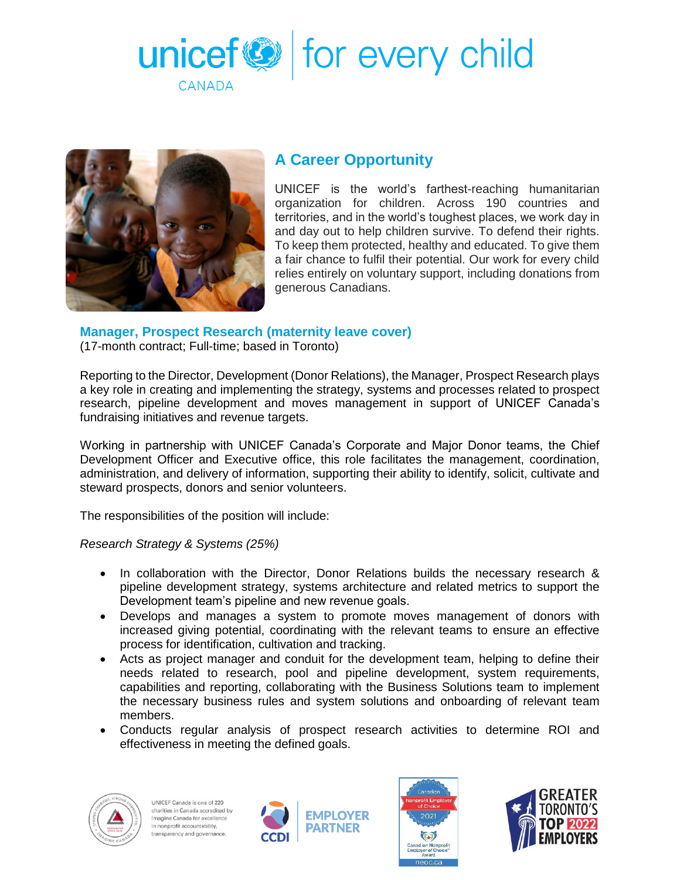



## **A Career Opportunity**

UNICEF is the world's farthest-reaching humanitarian organization for children. Across 190 countries and territories, and in the world's toughest places, we work day in and day out to help children survive. To defend their rights. To keep them protected, healthy and educated. To give them a fair chance to fulfil their potential. Our work for every child relies entirely on voluntary support, including donations from generous Canadians.

## **Manager, Prospect Research (maternity leave cover)**

(17-month contract; Full-time; based in Toronto)

Reporting to the Director, Development (Donor Relations), the Manager, Prospect Research plays a key role in creating and implementing the strategy, systems and processes related to prospect research, pipeline development and moves management in support of UNICEF Canada's fundraising initiatives and revenue targets.

Working in partnership with UNICEF Canada's Corporate and Major Donor teams, the Chief Development Officer and Executive office, this role facilitates the management, coordination, administration, and delivery of information, supporting their ability to identify, solicit, cultivate and steward prospects, donors and senior volunteers.

The responsibilities of the position will include:

*Research Strategy & Systems (25%)*

- In collaboration with the Director, Donor Relations builds the necessary research & pipeline development strategy, systems architecture and related metrics to support the Development team's pipeline and new revenue goals.
- Develops and manages a system to promote moves management of donors with increased giving potential, coordinating with the relevant teams to ensure an effective process for identification, cultivation and tracking.
- Acts as project manager and conduit for the development team, helping to define their needs related to research, pool and pipeline development, system requirements, capabilities and reporting, collaborating with the Business Solutions team to implement the necessary business rules and system solutions and onboarding of relevant team members.
- Conducts regular analysis of prospect research activities to determine ROI and effectiveness in meeting the defined goals.







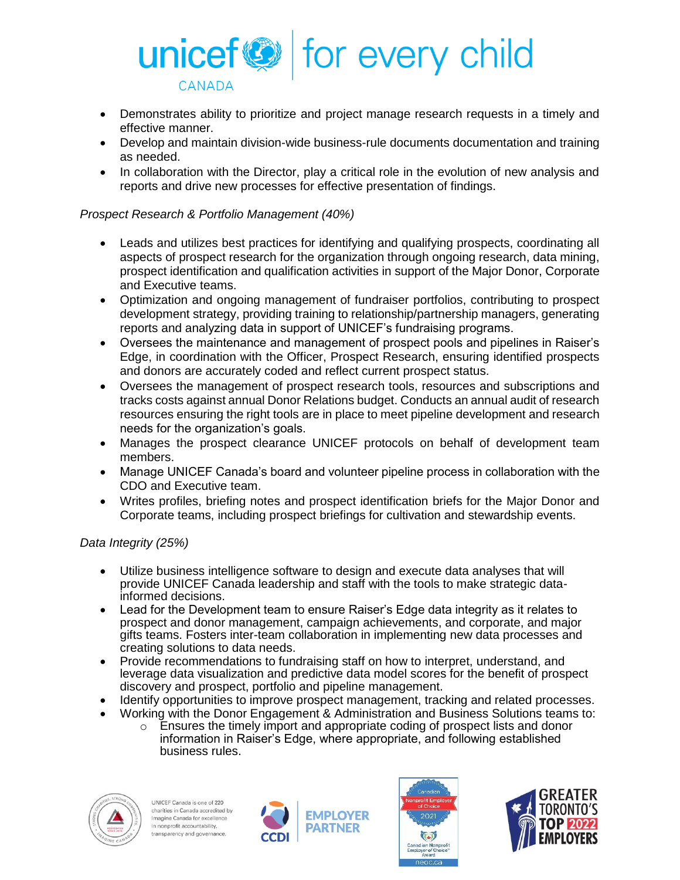

- Demonstrates ability to prioritize and project manage research requests in a timely and effective manner.
- Develop and maintain division-wide business-rule documents documentation and training as needed.
- In collaboration with the Director, play a critical role in the evolution of new analysis and reports and drive new processes for effective presentation of findings.

## *Prospect Research & Portfolio Management (40%)*

- Leads and utilizes best practices for identifying and qualifying prospects, coordinating all aspects of prospect research for the organization through ongoing research, data mining, prospect identification and qualification activities in support of the Major Donor, Corporate and Executive teams.
- Optimization and ongoing management of fundraiser portfolios, contributing to prospect development strategy, providing training to relationship/partnership managers, generating reports and analyzing data in support of UNICEF's fundraising programs.
- Oversees the maintenance and management of prospect pools and pipelines in Raiser's Edge, in coordination with the Officer, Prospect Research, ensuring identified prospects and donors are accurately coded and reflect current prospect status.
- Oversees the management of prospect research tools, resources and subscriptions and tracks costs against annual Donor Relations budget. Conducts an annual audit of research resources ensuring the right tools are in place to meet pipeline development and research needs for the organization's goals.
- Manages the prospect clearance UNICEF protocols on behalf of development team members.
- Manage UNICEF Canada's board and volunteer pipeline process in collaboration with the CDO and Executive team.
- Writes profiles, briefing notes and prospect identification briefs for the Major Donor and Corporate teams, including prospect briefings for cultivation and stewardship events.

## *Data Integrity (25%)*

- Utilize business intelligence software to design and execute data analyses that will provide UNICEF Canada leadership and staff with the tools to make strategic datainformed decisions.
- Lead for the Development team to ensure Raiser's Edge data integrity as it relates to prospect and donor management, campaign achievements, and corporate, and major gifts teams. Fosters inter-team collaboration in implementing new data processes and creating solutions to data needs.
- Provide recommendations to fundraising staff on how to interpret, understand, and leverage data visualization and predictive data model scores for the benefit of prospect discovery and prospect, portfolio and pipeline management.
- Identify opportunities to improve prospect management, tracking and related processes.
- Working with the Donor Engagement & Administration and Business Solutions teams to:
	- $\circ$  Ensures the timely import and appropriate coding of prospect lists and donor information in Raiser's Edge, where appropriate, and following established business rules.







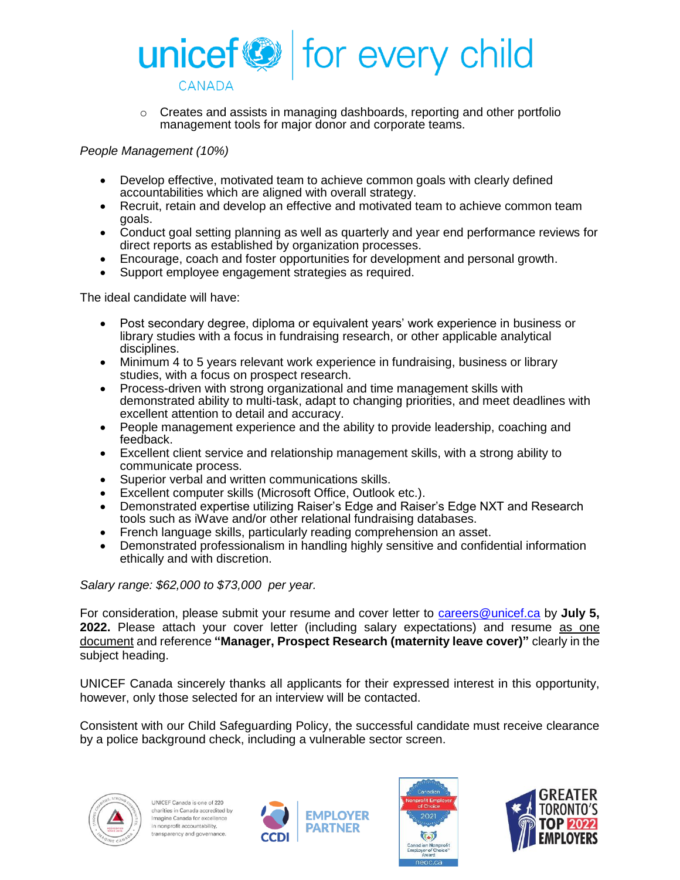

 $\circ$  Creates and assists in managing dashboards, reporting and other portfolio management tools for major donor and corporate teams.

*People Management (10%)*

- Develop effective, motivated team to achieve common goals with clearly defined accountabilities which are aligned with overall strategy.
- Recruit, retain and develop an effective and motivated team to achieve common team goals.
- Conduct goal setting planning as well as quarterly and year end performance reviews for direct reports as established by organization processes.
- Encourage, coach and foster opportunities for development and personal growth.
- Support employee engagement strategies as required.

The ideal candidate will have:

- Post secondary degree, diploma or equivalent years' work experience in business or library studies with a focus in fundraising research, or other applicable analytical disciplines.
- Minimum 4 to 5 years relevant work experience in fundraising, business or library studies, with a focus on prospect research.
- Process-driven with strong organizational and time management skills with demonstrated ability to multi-task, adapt to changing priorities, and meet deadlines with excellent attention to detail and accuracy.
- People management experience and the ability to provide leadership, coaching and feedback.
- Excellent client service and relationship management skills, with a strong ability to communicate process.
- Superior verbal and written communications skills.
- Excellent computer skills (Microsoft Office, Outlook etc.).
- Demonstrated expertise utilizing Raiser's Edge and Raiser's Edge NXT and Research tools such as iWave and/or other relational fundraising databases.
- French language skills, particularly reading comprehension an asset.
- Demonstrated professionalism in handling highly sensitive and confidential information ethically and with discretion.

*Salary range: \$62,000 to \$73,000 per year.* 

For consideration, please submit your resume and cover letter to [careers@unicef.ca](mailto:careers@unicef.ca) by **July 5, 2022.** Please attach your cover letter (including salary expectations) and resume as one document and reference **"Manager, Prospect Research (maternity leave cover)"** clearly in the subject heading.

UNICEF Canada sincerely thanks all applicants for their expressed interest in this opportunity, however, only those selected for an interview will be contacted.

Consistent with our Child Safeguarding Policy, the successful candidate must receive clearance by a police background check, including a vulnerable sector screen.